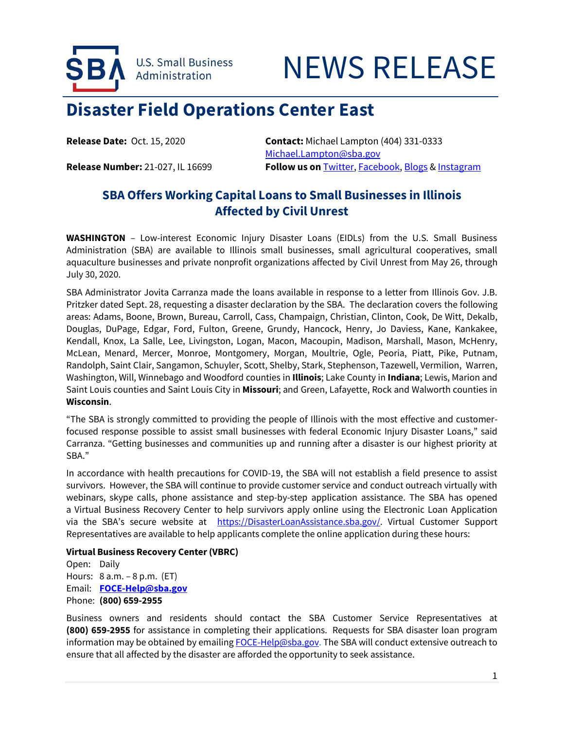

# NEWS RELEASE

## **Disaster Field Operations Center East**

**Release Date:** Oct. 15, 2020 **Contact:** Michael Lampton (404) 331-0333 [Michael.Lampton@sba.gov](mailto:Michael.Lampton@sba.gov) **Release Number:** 21-027, IL 16699 **Follow us on [Twitter,](http://www.twitter.com/SBAgov) [Facebook,](http://www.facebook.com/sbagov) [Blogs](http://www.sba.gov/blogs) [& Instagram](https://www.instagram.com/sbagov/)** 

### **SBA Offers Working Capital Loans to Small Businesses in Illinois Affected by Civil Unrest**

**WASHINGTON** – Low-interest Economic Injury Disaster Loans (EIDLs) from the U.S. Small Business Administration (SBA) are available to Illinois small businesses, small agricultural cooperatives, small aquaculture businesses and private nonprofit organizations affected by Civil Unrest from May 26, through July 30, 2020.

SBA Administrator Jovita Carranza made the loans available in response to a letter from Illinois Gov. J.B. Pritzker dated Sept. 28, requesting a disaster declaration by the SBA. The declaration covers the following areas: Adams, Boone, Brown, Bureau, Carroll, Cass, Champaign, Christian, Clinton, Cook, De Witt, Dekalb, Douglas, DuPage, Edgar, Ford, Fulton, Greene, Grundy, Hancock, Henry, Jo Daviess, Kane, Kankakee, Kendall, Knox, La Salle, Lee, Livingston, Logan, Macon, Macoupin, Madison, Marshall, Mason, McHenry, McLean, Menard, Mercer, Monroe, Montgomery, Morgan, Moultrie, Ogle, Peoria, Piatt, Pike, Putnam, Randolph, Saint Clair, Sangamon, Schuyler, Scott, Shelby, Stark, Stephenson, Tazewell, Vermilion, Warren, Washington, Will, Winnebago and Woodford counties in **Illinois**; Lake County in **Indiana**; Lewis, Marion and Saint Louis counties and Saint Louis City in **Missouri**; and Green, Lafayette, Rock and Walworth counties in **Wisconsin**.

"The SBA is strongly committed to providing the people of Illinois with the most effective and customerfocused response possible to assist small businesses with federal Economic Injury Disaster Loans," said Carranza. "Getting businesses and communities up and running after a disaster is our highest priority at SBA."

In accordance with health precautions for COVID-19, the SBA will not establish a field presence to assist survivors. However, the SBA will continue to provide customer service and conduct outreach virtually with webinars, skype calls, phone assistance and step-by-step application assistance. The SBA has opened a Virtual Business Recovery Center to help survivors apply online using the Electronic Loan Application via the SBA's secure website at [https://DisasterLoanAssistance.sba.gov/.](https://disasterloanassistance.sba.gov/) Virtual Customer Support Representatives are available to help applicants complete the online application during these hours:

#### **Virtual Business Recovery Center (VBRC)**

Open: Daily Hours: 8 a.m. – 8 p.m. (ET) Email: **[FOCE-Help@sba.gov](mailto:FOCE-Help@sba.gov)** Phone: **(800) 659-2955**

Business owners and residents should contact the SBA Customer Service Representatives at **(800) 659-2955** for assistance in completing their applications. Requests for SBA disaster loan program information may be obtained by emailing **FOCE-Help@sba.gov**. The SBA will conduct extensive outreach to ensure that all affected by the disaster are afforded the opportunity to seek assistance.